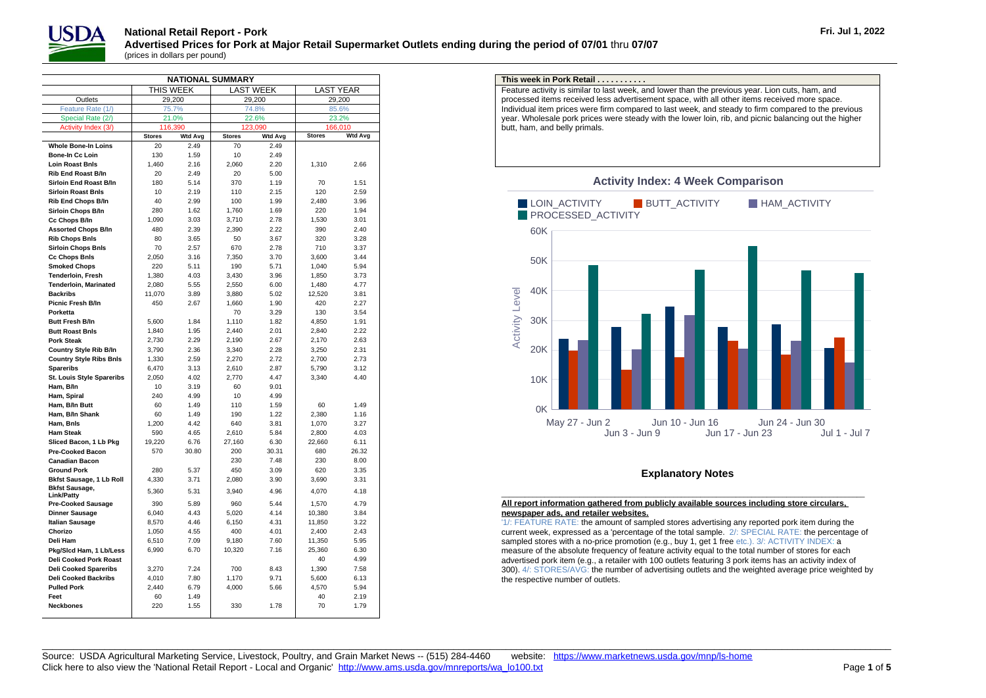

| <b>NATIONAL SUMMARY</b>          |               |                |               |                  |                  |                |  |  |  |  |  |
|----------------------------------|---------------|----------------|---------------|------------------|------------------|----------------|--|--|--|--|--|
|                                  |               | THIS WEEK      |               | <b>LAST WEEK</b> | <b>LAST YEAR</b> |                |  |  |  |  |  |
| Outlets                          |               | 29,200         |               | 29,200           |                  | 29,200         |  |  |  |  |  |
| Feature Rate (1/)                | 75.7%         |                |               | 74.8%            | 85.6%            |                |  |  |  |  |  |
| Special Rate (2/)                | 21.0%         |                |               | 22.6%            | 23.2%            |                |  |  |  |  |  |
| Activity Index (3/)              | 116,390       |                |               | 123,090          | 166,010          |                |  |  |  |  |  |
|                                  | <b>Stores</b> | <b>Wtd Avg</b> | <b>Stores</b> | <b>Wtd Avg</b>   | <b>Stores</b>    | <b>Wtd Avg</b> |  |  |  |  |  |
| <b>Whole Bone-In Loins</b>       | 20            | 2.49           | 70            | 2.49             |                  |                |  |  |  |  |  |
| Bone-In Cc Loin                  | 130           | 1.59           | 10            | 2.49             |                  |                |  |  |  |  |  |
| <b>Loin Roast Bnls</b>           | 1,460         | 2.16           | 2,060         | 2.20             | 1,310            | 2.66           |  |  |  |  |  |
| <b>Rib End Roast B/In</b>        | 20            | 2.49           | 20            | 5.00             |                  |                |  |  |  |  |  |
| Sirloin End Roast B/In           | 180           | 5.14           | 370           | 1.19             | 70               | 1.51           |  |  |  |  |  |
| <b>Sirloin Roast Bnls</b>        | 10            | 2.19           | 110           | 2.15             | 120              | 2.59           |  |  |  |  |  |
| <b>Rib End Chops B/In</b>        | 40            | 2.99           | 100           | 1.99             | 2.480            | 3.96           |  |  |  |  |  |
| Sirloin Chops B/In               | 280           | 1.62           | 1,760         | 1.69             | 220              | 1.94           |  |  |  |  |  |
| Cc Chops B/In                    | 1,090         | 3.03           | 3,710         | 2.78             | 1,530            | 3.01           |  |  |  |  |  |
| <b>Assorted Chops B/In</b>       | 480           | 2.39           | 2,390         | 2.22             | 390              | 2.40           |  |  |  |  |  |
| <b>Rib Chops Bnls</b>            | 80            | 3.65           | 50            | 3.67             | 320              | 3.28           |  |  |  |  |  |
| <b>Sirloin Chops Bnls</b>        | 70            | 2.57           | 670           | 2.78             | 710              | 3.37           |  |  |  |  |  |
| <b>Cc Chops Bnls</b>             | 2,050         | 3.16           | 7,350         | 3.70             | 3,600            | 3.44           |  |  |  |  |  |
| <b>Smoked Chops</b>              | 220           | 5.11           | 190           | 5.71             | 1.040            | 5.94           |  |  |  |  |  |
| Tenderloin, Fresh                | 1,380         | 4.03           | 3,430         | 3.96             | 1,850            | 3.73           |  |  |  |  |  |
| <b>Tenderloin, Marinated</b>     | 2,080         | 5.55           | 2,550         | 6.00             | 1,480            | 4.77           |  |  |  |  |  |
| <b>Backribs</b>                  | 11,070        | 3.89           | 3,880         | 5.02             | 12,520           | 3.81           |  |  |  |  |  |
| Picnic Fresh B/In                | 450           | 2.67           | 1.660         | 1.90             | 420              | 2.27           |  |  |  |  |  |
| Porketta                         |               |                | 70            | 3.29             | 130              | 3.54           |  |  |  |  |  |
| <b>Butt Fresh B/In</b>           | 5.600         | 1.84           | 1.110         | 1.82             | 4.850            | 1.91           |  |  |  |  |  |
| <b>Butt Roast Bnls</b>           | 1,840         | 1.95           | 2.440         | 2.01             | 2,840            | 2.22           |  |  |  |  |  |
| <b>Pork Steak</b>                | 2,730         | 2.29           | 2,190         | 2.67             | 2,170            | 2.63           |  |  |  |  |  |
| <b>Country Style Rib B/In</b>    | 3,790         | 2.36           | 3,340         | 2.28             | 3,250            | 2.31           |  |  |  |  |  |
| <b>Country Style Ribs Bnls</b>   | 1,330         | 2.59           | 2,270         | 2.72             | 2,700            | 2.73           |  |  |  |  |  |
| <b>Spareribs</b>                 | 6,470         | 3.13           | 2,610         | 2.87             | 5,790            | 3.12           |  |  |  |  |  |
| <b>St. Louis Style Spareribs</b> | 2,050         | 4.02           | 2,770         | 4.47             | 3,340            | 4.40           |  |  |  |  |  |
| Ham, B/In                        | 10            | 3.19           | 60            | 9.01             |                  |                |  |  |  |  |  |
| Ham. Spiral                      | 240           | 4.99           | 10            | 4.99             |                  |                |  |  |  |  |  |
| Ham, B/In Butt                   | 60            | 1.49           | 110           | 1.59             | 60               | 1.49           |  |  |  |  |  |
| Ham, B/In Shank                  | 60            | 1.49           | 190           | 1.22             | 2.380            | 1.16           |  |  |  |  |  |
| Ham, Bnis                        | 1,200         | 4.42           | 640           | 3.81             | 1,070            | 3.27           |  |  |  |  |  |
| <b>Ham Steak</b>                 | 590           | 4.65           | 2,610         | 5.84             | 2,800            | 4.03           |  |  |  |  |  |
| Sliced Bacon, 1 Lb Pkg           | 19,220        | 6.76           | 27,160        | 6.30             | 22,660           | 6.11           |  |  |  |  |  |
| <b>Pre-Cooked Bacon</b>          | 570           | 30.80          | 200           | 30.31            | 680              | 26.32          |  |  |  |  |  |
| <b>Canadian Bacon</b>            |               |                | 230           | 7.48             | 230              | 8.00           |  |  |  |  |  |
| <b>Ground Pork</b>               | 280           | 5.37           | 450           | 3.09             | 620              | 3.35           |  |  |  |  |  |
| <b>Bkfst Sausage, 1 Lb Roll</b>  | 4,330         | 3.71           | 2,080         | 3.90             | 3,690            | 3.31           |  |  |  |  |  |
| <b>Bkfst Sausage,</b>            | 5,360         | 5.31           | 3,940         | 4.96             | 4,070            | 4.18           |  |  |  |  |  |
| Link/Patty                       |               |                |               |                  |                  |                |  |  |  |  |  |
| <b>Pre-Cooked Sausage</b>        | 390           | 5.89           | 960           | 5.44             | 1.570            | 4.79           |  |  |  |  |  |
| <b>Dinner Sausage</b>            | 6,040         | 4.43           | 5,020         | 4.14             | 10,380           | 3.84           |  |  |  |  |  |
| <b>Italian Sausage</b>           | 8.570         | 4.46           | 6.150         | 4.31             | 11,850           | 3.22           |  |  |  |  |  |
| Chorizo                          | 1,050         | 4.55           | 400           | 4.01             | 2,400            | 2.43           |  |  |  |  |  |
| Deli Ham                         | 6,510         | 7.09           | 9,180         | 7.60             | 11,350           | 5.95           |  |  |  |  |  |
| Pkg/Slcd Ham, 1 Lb/Less          | 6,990         | 6.70           | 10,320        | 7.16             | 25,360           | 6.30           |  |  |  |  |  |
| <b>Deli Cooked Pork Roast</b>    |               |                |               |                  | 40               | 4.99           |  |  |  |  |  |
| <b>Deli Cooked Spareribs</b>     | 3.270         | 7.24           | 700           | 8.43             | 1.390            | 7.58           |  |  |  |  |  |
| <b>Deli Cooked Backribs</b>      | 4,010         | 7.80           | 1,170         | 9.71             | 5,600            | 6.13           |  |  |  |  |  |
| <b>Pulled Pork</b>               | 2,440         | 6.79           | 4,000         | 5.66             | 4,570            | 5.94           |  |  |  |  |  |
| Feet                             | 60            | 1.49           |               |                  | 40               | 2.19           |  |  |  |  |  |
| <b>Neckbones</b>                 | 220           | 1.55           | 330           | 1.78             | 70               | 1.79           |  |  |  |  |  |
|                                  |               |                |               |                  |                  |                |  |  |  |  |  |

## **This week in Pork Retail . . . . . . . . . . .**

Feature activity is similar to last week, and lower than the previous year. Lion cuts, ham, and processed items received less advertisement space, with all other items received more space. Individual item prices were firm compared to last week, and steady to firm compared to the previous year. Wholesale pork prices were steady with the lower loin, rib, and picnic balancing out the higher butt, ham, and belly primals.



## **Activity Index: 4 Week Comparison**

## **Explanatory Notes** \_\_\_\_\_\_\_\_\_\_\_\_\_\_\_\_\_\_\_\_\_\_\_\_\_\_\_\_\_\_\_\_\_\_\_\_\_\_\_\_\_\_\_\_\_\_\_\_\_\_\_\_\_\_\_\_\_\_\_\_\_\_\_\_\_\_\_\_\_\_\_\_\_\_\_\_\_\_\_\_\_\_\_\_\_\_\_\_\_\_\_\_\_

## **All report information gathered from publicly available sources including store circulars, newspaper ads, and retailer websites.**

'1/: FEATURE RATE: the amount of sampled stores advertising any reported pork item during the current week, expressed as a 'percentage of the total sample. 2/: SPECIAL RATE: the percentage of sampled stores with a no-price promotion (e.g., buy 1, get 1 free etc.). 3/: ACTIVITY INDEX: a measure of the absolute frequency of feature activity equal to the total number of stores for each advertised pork item (e.g., a retailer with 100 outlets featuring 3 pork items has an activity index of 300). 4/: STORES/AVG: the number of advertising outlets and the weighted average price weighted by the respective number of outlets.

 $\_$  ,  $\_$  ,  $\_$  ,  $\_$  ,  $\_$  ,  $\_$  ,  $\_$  ,  $\_$  ,  $\_$  ,  $\_$  ,  $\_$  ,  $\_$  ,  $\_$  ,  $\_$  ,  $\_$  ,  $\_$  ,  $\_$  ,  $\_$  ,  $\_$  ,  $\_$  ,  $\_$  ,  $\_$  ,  $\_$  ,  $\_$  ,  $\_$  ,  $\_$  ,  $\_$  ,  $\_$  ,  $\_$  ,  $\_$  ,  $\_$  ,  $\_$  ,  $\_$  ,  $\_$  ,  $\_$  ,  $\_$  ,  $\_$  ,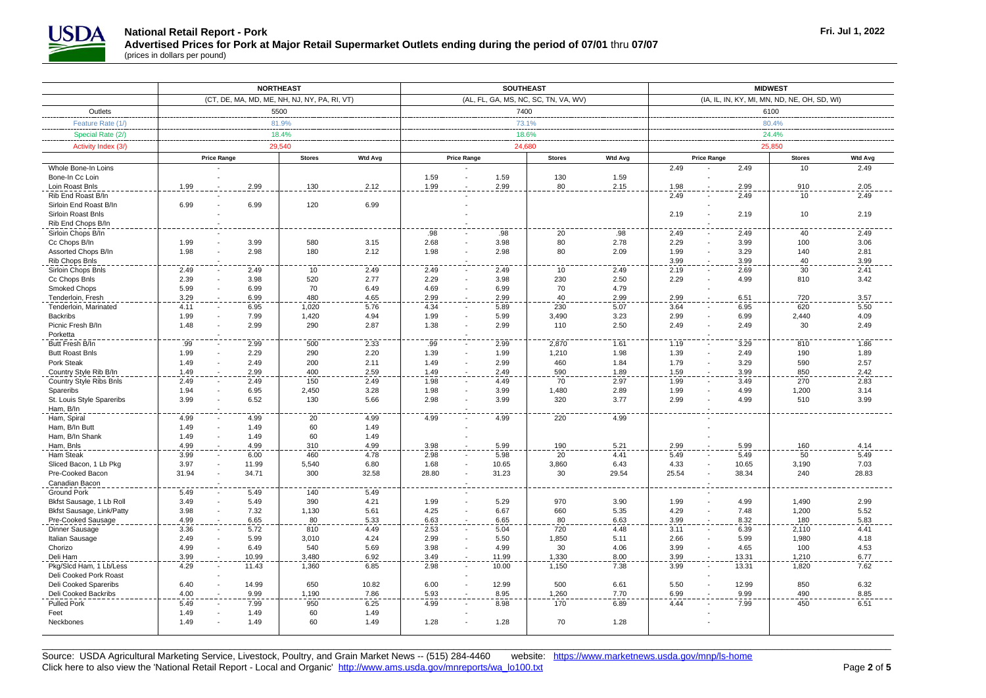

|                                                   | <b>NORTHEAST</b>                                      |              |                                              | <b>SOUTHEAST</b> |                                      |              |                 | <b>MIDWEST</b> |                                              |                                  |                     |              |  |
|---------------------------------------------------|-------------------------------------------------------|--------------|----------------------------------------------|------------------|--------------------------------------|--------------|-----------------|----------------|----------------------------------------------|----------------------------------|---------------------|--------------|--|
|                                                   |                                                       |              | (CT, DE, MA, MD, ME, NH, NJ, NY, PA, RI, VT) |                  | (AL, FL, GA, MS, NC, SC, TN, VA, WV) |              |                 |                | (IA, IL, IN, KY, MI, MN, ND, NE, OH, SD, WI) |                                  |                     |              |  |
| Outlets                                           | 5500                                                  |              |                                              |                  |                                      | 7400         |                 |                |                                              | 6100                             |                     |              |  |
| Feature Rate (1/)                                 | 81.9%                                                 |              |                                              |                  |                                      | 73.1%        |                 |                | 80.4%                                        |                                  |                     |              |  |
| Special Rate (2/)                                 | 18.4%                                                 |              |                                              |                  |                                      | 18.6%        |                 |                | 24.4%                                        |                                  |                     |              |  |
| Activity Index (3/)                               |                                                       |              | 29.540                                       |                  |                                      | 24,680       |                 |                |                                              |                                  | 25.850              |              |  |
|                                                   | <b>Stores</b><br><b>Wtd Avg</b><br><b>Price Range</b> |              |                                              |                  | <b>Price Range</b>                   |              |                 |                | <b>Wtd Avg</b><br><b>Price Range</b>         |                                  |                     |              |  |
| Whole Bone-In Loins                               |                                                       |              |                                              |                  |                                      |              | <b>Stores</b>   | <b>Wtd Avg</b> | 2.49                                         | 2.49                             | <b>Stores</b><br>10 | 2.49         |  |
| Bone-In Cc Loin                                   |                                                       |              |                                              |                  | 1.59                                 | 1.59         | 130             | 1.59           |                                              |                                  |                     |              |  |
| Loin Roast Bnls                                   | 1.99                                                  | 2.99         | 130                                          | 2.12             | 1.99                                 | 2.99         | 80              | 2.15           | 1.98                                         | 2.99                             | 910                 | 2.05         |  |
| Rib End Roast B/In                                |                                                       |              |                                              |                  |                                      |              |                 |                | 2.49                                         | 2.49                             | 10                  | 2.49         |  |
| Sirloin End Roast B/In                            | 6.99                                                  | 6.99         | 120                                          | 6.99             |                                      |              |                 |                |                                              |                                  |                     |              |  |
| Sirloin Roast Bnls                                |                                                       |              |                                              |                  |                                      |              |                 |                | 2.19                                         | 2.19                             | 10                  | 2.19         |  |
| Rib End Chops B/In                                |                                                       |              |                                              |                  |                                      |              |                 |                |                                              |                                  |                     |              |  |
| Sirloin Chops B/In                                |                                                       |              |                                              |                  | .98                                  | .98          | 20              | .98            | 2.49                                         | 2.49                             | 40                  | 2.49         |  |
| Cc Chops B/In                                     | 1.99                                                  | 3.99         | 580                                          | 3.15             | 2.68                                 | 3.98         | 80              | 2.78           | 2.29                                         | 3.99                             | 100                 | 3.06         |  |
| Assorted Chops B/In<br>Rib Chops Bnls             | 1.98                                                  | 2.98         | 180                                          | 2.12             | 1.98                                 | 2.98         | 80              | 2.09           | 1.99<br>3.99                                 | 3.29<br>3.99                     | 140<br>40           | 2.81<br>3.99 |  |
| Sirloin Chops Bnls                                | 2.49                                                  | 2.49         | 10                                           | 2.49             | 2.49                                 | 2.49         | $\overline{10}$ | 2.49           | 2.19                                         | 2.69                             | $\overline{30}$     | 2.41         |  |
| Cc Chops Bnls                                     | 2.39                                                  | 3.98         | 520                                          | 2.77             | 2.29                                 | 3.98         | 230             | 2.50           | 2.29                                         | 4.99                             | 810                 | 3.42         |  |
| <b>Smoked Chops</b>                               | 5.99                                                  | 6.99         | 70                                           | 6.49             | 4.69                                 | 6.99         | 70              | 4.79           |                                              |                                  |                     |              |  |
| Tenderloin, Fresh                                 | 3.29                                                  | 6.99         | 480                                          | 4.65             | 2.99                                 | 2.99         | 40              | 2.99           | 2.99                                         | 6.51                             | 720                 | 3.57         |  |
| Tenderloin, Marinated                             | 4.11                                                  | 6.95         | 1,020                                        | 5.76             | 4.34                                 | 5.89         | 230             | 5.07           | 3.64                                         | 6.95                             | 620                 | 5.50         |  |
| <b>Backribs</b>                                   | 1.99                                                  | 7.99         | 1,420                                        | 4.94             | 1.99                                 | 5.99         | 3,490           | 3.23           | 2.99                                         | 6.99                             | 2,440               | 4.09         |  |
| Picnic Fresh B/In                                 | 1.48                                                  | 2.99         | 290                                          | 2.87             | 1.38                                 | 2.99         | 110             | 2.50           | 2.49                                         | 2.49                             | 30                  | 2.49         |  |
| Porketta                                          |                                                       |              |                                              |                  |                                      |              |                 |                |                                              |                                  |                     |              |  |
| Butt Fresh B/In                                   | .99                                                   | 2.99         | 500                                          | 2.33             | .99                                  | 2.99         | 2,870           | 1.61           | 1.19                                         | 3.29                             | 810                 | 1.86         |  |
| <b>Butt Roast Bnls</b>                            | 1.99                                                  | 2.29         | 290                                          | 2.20             | 1.39                                 | 1.99         | 1,210           | 1.98           | 1.39                                         | 2.49                             | 190                 | 1.89         |  |
| Pork Steak                                        | 1.49                                                  | 2.49         | 200<br>400                                   | 2.11<br>2.59     | 1.49                                 | 2.99<br>2.49 | 460<br>590      | 1.84           | 1.79                                         | 3.29                             | 590                 | 2.57<br>2.42 |  |
| Country Style Rib B/In<br>Country Style Ribs Bnls | 1.49<br>2.49                                          | 2.99<br>2.49 | 150                                          | 2.49             | 1.49<br>1.98                         | 4.49         | 70              | 1.89<br>2.97   | 1.59<br>1.99                                 | 3.99<br>3.49                     | 850<br>270          | 2.83         |  |
| Spareribs                                         | 1.94                                                  | 6.95         | 2,450                                        | 3.28             | 1.98                                 | 3.99         | 1,480           | 2.89           | 1.99                                         | 4.99                             | 1,200               | 3.14         |  |
| St. Louis Style Spareribs                         | 3.99                                                  | 6.52         | 130                                          | 5.66             | 2.98                                 | 3.99         | 320             | 3.77           | 2.99                                         | 4.99                             | 510                 | 3.99         |  |
| Ham, B/In                                         |                                                       |              |                                              |                  |                                      |              |                 |                |                                              |                                  |                     |              |  |
| Ham, Spiral                                       | 4.99                                                  | 4.99         | 20                                           | 4.99             | 4.99                                 | 4.99         | 220             | 4.99           |                                              |                                  |                     |              |  |
| Ham, B/In Butt                                    | 1.49                                                  | 1.49         | 60                                           | 1.49             |                                      |              |                 |                |                                              |                                  |                     |              |  |
| Ham, B/In Shank                                   | 1.49                                                  | 1.49         | 60                                           | 1.49             |                                      |              |                 |                |                                              |                                  |                     |              |  |
| Ham, Bnls                                         | 4.99                                                  | 4.99         | 310                                          | 4.99             | 3.98                                 | 5.99         | 190             | 5.21           | 2.99                                         | 5.99                             | 160                 | 4.14         |  |
| Ham Steak                                         | 3.99                                                  | 6.00         | 460                                          | 4.78             | 2.98                                 | 5.98         | 20              | 4.41           | 5.49                                         | 5.49                             | 50                  | 5.49         |  |
| Sliced Bacon, 1 Lb Pkg                            | 3.97                                                  | 11.99        | 5,540                                        | 6.80             | 1.68                                 | 10.65        | 3,860           | 6.43           | 4.33                                         | 10.65                            | 3,190               | 7.03         |  |
| Pre-Cooked Bacon                                  | 31.94                                                 | 34.71        | 300                                          | 32.58            | 28.80                                | 31.23        | 30              | 29.54          | 25.54                                        | 38.34                            | 240                 | 28.83        |  |
| Canadian Bacon<br><b>Ground Pork</b>              | 5.49                                                  | 5.49         | 140                                          | 5.49             |                                      |              |                 |                |                                              |                                  |                     |              |  |
| Bkfst Sausage, 1 Lb Roll                          | 3.49                                                  | 5.49         | 390                                          | 4.21             | 1.99                                 | 5.29         | 970             | 3.90           | 1.99                                         | 4.99<br>$\overline{\phantom{a}}$ | 1,490               | 2.99         |  |
| Bkfst Sausage, Link/Patty                         | 3.98                                                  | 7.32         | 1,130                                        | 5.61             | 4.25                                 | 6.67         | 660             | 5.35           | 4.29                                         | 7.48                             | 1,200               | 5.52         |  |
| Pre-Cooked Sausage                                | 4.99                                                  | 6.65         | 80                                           | 5.33             | 6.63                                 | 6.65         | 80              | 6.63           | 3.99                                         | 8.32                             | 180                 | 5.83         |  |
| Dinner Sausage                                    | 3.36                                                  | 5.72         | 810                                          | 4.49             | 2.53                                 | 5.04         | 720             | 4.48           | 3.11                                         | 6.39                             | 2,110               | 4.41         |  |
| Italian Sausage                                   | 2.49                                                  | 5.99         | 3,010                                        | 4.24             | 2.99                                 | 5.50         | 1,850           | 5.11           | 2.66                                         | 5.99<br>$\sim$                   | 1,980               | 4.18         |  |
| Chorizo                                           | 4.99                                                  | 6.49         | 540                                          | 5.69             | 3.98                                 | 4.99         | 30              | 4.06           | 3.99                                         | 4.65                             | 100                 | 4.53         |  |
| Deli Ham                                          | 3.99                                                  | 10.99        | 3,480                                        | 6.92             | 3.49                                 | 11.99        | 1,330           | 8.00           | 3.99                                         | 13.31                            | 1,210               | 6.77         |  |
| Pkg/Slcd Ham, 1 Lb/Less                           | 4.29                                                  | 11.43        | 1,360                                        | 6.85             | 2.98                                 | 10.00        | 1,150           | 7.38           | 3.99                                         | 13.31                            | 1,820               | 7.62         |  |
| Deli Cooked Pork Roast                            |                                                       |              |                                              |                  |                                      |              |                 |                |                                              |                                  |                     |              |  |
| Deli Cooked Spareribs                             | 6.40                                                  | 14.99        | 650                                          | 10.82            | 6.00                                 | 12.99        | 500             | 6.61           | 5.50                                         | 12.99                            | 850                 | 6.32         |  |
| Deli Cooked Backribs<br>Pulled Pork               | 4.00<br>5.49                                          | 9.99         | 1,190                                        | 7.86             | 5.93                                 | 8.95         | 1,260<br>170    | 7.70           | 6.99                                         | 9.99                             | 490<br>450          | 8.85         |  |
| Feet                                              | 1.49                                                  | 7.99<br>1.49 | 950<br>60                                    | 6.25<br>1.49     | 4.99                                 | 8.98         |                 | 6.89           | 4.44                                         | 7.99                             |                     | 6.51         |  |
| Neckbones                                         | 1.49                                                  | 1.49         | 60                                           | 1.49             | 1.28                                 | 1.28         | 70              | 1.28           |                                              |                                  |                     |              |  |
|                                                   |                                                       |              |                                              |                  |                                      |              |                 |                |                                              |                                  |                     |              |  |

 $\_$  ,  $\_$  ,  $\_$  ,  $\_$  ,  $\_$  ,  $\_$  ,  $\_$  ,  $\_$  ,  $\_$  ,  $\_$  ,  $\_$  ,  $\_$  ,  $\_$  ,  $\_$  ,  $\_$  ,  $\_$  ,  $\_$  ,  $\_$  ,  $\_$  ,  $\_$  ,  $\_$  ,  $\_$  ,  $\_$  ,  $\_$  ,  $\_$  ,  $\_$  ,  $\_$  ,  $\_$  ,  $\_$  ,  $\_$  ,  $\_$  ,  $\_$  ,  $\_$  ,  $\_$  ,  $\_$  ,  $\_$  ,  $\_$  , Source: USDA Agricultural Marketing Service, Livestock, Poultry, and Grain Market News -- (515) 284-4460 website: <https://www.marketnews.usda.gov/mnp/ls-home> Click here to also view the 'National Retail Report - Local and Organic' [http://www.ams.usda.gov/mnreports/wa\\_lo100.txt](http://www.ams.usda.gov/mnreports/wa_lo100.txt) Page 2 of 5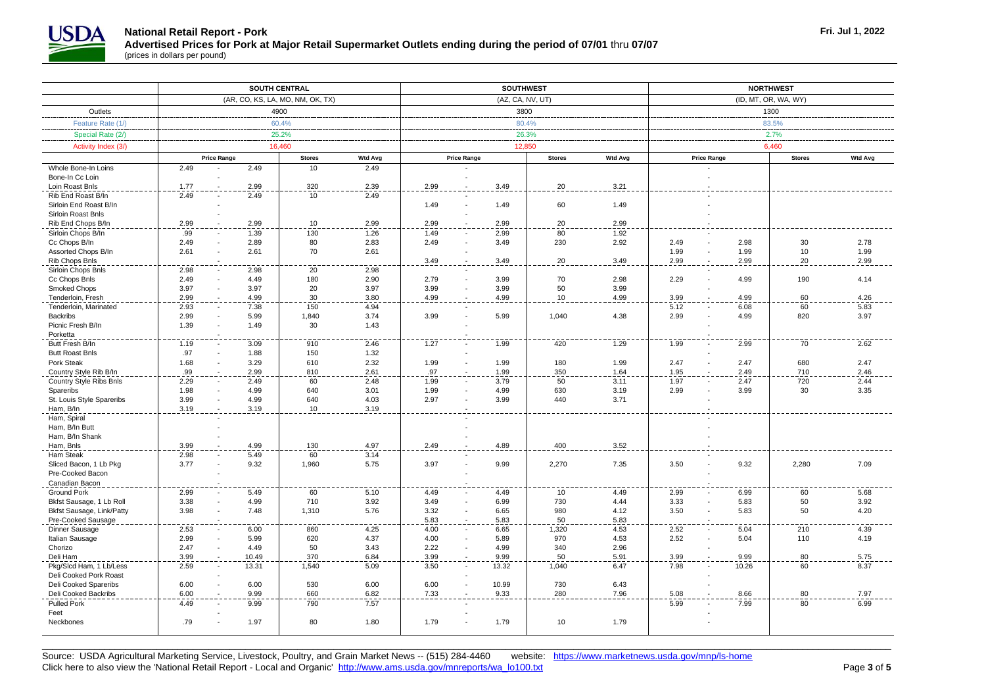

|                                          | <b>SOUTH CENTRAL</b>             |              |               |                | <b>SOUTHWEST</b>   |                        |               |                | <b>NORTHWEST</b>   |                      |               |                |  |
|------------------------------------------|----------------------------------|--------------|---------------|----------------|--------------------|------------------------|---------------|----------------|--------------------|----------------------|---------------|----------------|--|
|                                          | (AR, CO, KS, LA, MO, NM, OK, TX) |              |               |                |                    | (AZ, CA, NV, UT)       |               |                |                    | (ID, MT, OR, WA, WY) |               |                |  |
| Outlets                                  | 4900                             |              |               |                | 3800               |                        |               |                | 1300               |                      |               |                |  |
| Feature Rate (1/)                        | 60.4%                            |              |               |                |                    | 80.4%                  |               |                |                    | 83.5%                |               |                |  |
| Special Rate (2/)                        | 25.2%                            |              |               |                |                    | 26.3%                  |               |                | 2.7%               |                      |               |                |  |
|                                          |                                  |              |               |                |                    |                        |               |                |                    |                      |               |                |  |
| Activity Index (3/)                      |                                  | 16,460       |               |                |                    | 12,850                 |               |                |                    |                      | 6.460         |                |  |
|                                          | <b>Price Range</b>               |              | <b>Stores</b> | <b>Wtd Avg</b> | <b>Price Range</b> |                        | <b>Stores</b> | <b>Wtd Avg</b> | <b>Price Range</b> |                      | <b>Stores</b> | <b>Wtd Avg</b> |  |
| Whole Bone-In Loins                      | 2.49                             | 2.49         | 10            | 2.49           |                    |                        |               |                |                    |                      |               |                |  |
| Bone-In Cc Loin                          |                                  |              |               |                |                    |                        |               |                |                    |                      |               |                |  |
| Loin Roast Bnls                          | 1.77                             | 2.99         | 320           | 2.39           | 2.99               | 3.49                   | 20            | 3.21           |                    |                      |               |                |  |
| Rib End Roast B/In                       | 2.49                             | 2.49         | 10            | 2.49           |                    |                        |               |                |                    |                      |               |                |  |
| Sirloin End Roast B/In                   |                                  |              |               |                | 1.49               | 1.49                   | 60            | 1.49           |                    |                      |               |                |  |
| Sirloin Roast Bnls                       |                                  |              |               |                |                    |                        |               |                |                    |                      |               |                |  |
| Rib End Chops B/In<br>Sirloin Chops B/In | 2.99<br>.99                      | 2.99<br>1.39 | 10<br>130     | 2.99           | 2.99               | 2.99<br>2.99           | 20<br>80      | 2.99<br>1.92   |                    |                      |               |                |  |
| Cc Chops B/In                            | 2.49                             | 2.89         | 80            | 1.26<br>2.83   | 1.49<br>2.49       | 3.49                   | 230           | 2.92           | 2.49               | 2.98                 | 30            | 2.78           |  |
| Assorted Chops B/In                      | 2.61                             | 2.61         | 70            | 2.61           |                    |                        |               |                | 1.99               | 1.99                 | 10            | 1.99           |  |
| Rib Chops Bnls                           |                                  |              |               |                | 3.49               | 3.49                   | 20            | 3.49           | 2.99               | 2.99                 | 20            | 2.99           |  |
| Sirloin Chops Bnls                       | 2.98                             | 2.98         | 20            | 2.98           |                    |                        |               |                |                    |                      |               |                |  |
| Cc Chops Bnls                            | 2.49                             | 4.49         | 180           | 2.90           | 2.79               | 3.99                   | 70            | 2.98           | 2.29               | 4.99                 | 190           | 4.14           |  |
| Smoked Chops                             | 3.97                             | 3.97         | 20            | 3.97           | 3.99               | 3.99                   | 50            | 3.99           |                    |                      |               |                |  |
| Tenderloin, Fresh                        | 2.99                             | 4.99         | 30            | 3.80           | 4.99               | 4.99                   | 10            | 4.99           | 3.99               | 4.99                 | 60            | 4.26           |  |
| Tenderloin, Marinated                    | 2.93                             | 7.38         | 150           | 4.94           |                    |                        |               |                | 5.12               | 6.08                 | 60            | 5.83           |  |
| <b>Backribs</b>                          | 2.99                             | 5.99         | 1,840         | 3.74           | 3.99               | 5.99                   | 1,040         | 4.38           | 2.99               | 4.99                 | 820           | 3.97           |  |
| Picnic Fresh B/In                        | 1.39                             | 1.49         | 30            | 1.43           |                    |                        |               |                |                    |                      |               |                |  |
| Porketta                                 |                                  |              |               |                |                    |                        |               |                |                    |                      |               |                |  |
| Butt Fresh B/In                          | 1.19                             | 3.09         | 910           | 2.46           | 1.27               | 1.99                   | 420           | 1.29           | 1.99               | 2.99                 | 70            | 2.62           |  |
| <b>Butt Roast Bnls</b>                   | .97                              | 1.88         | 150           | 1.32           |                    |                        |               |                |                    |                      |               |                |  |
| Pork Steak                               | 1.68                             | 3.29         | 610           | 2.32           | 1.99               | 1.99                   | 180           | 1.99           | 2.47               | 2.47                 | 680           | 2.47           |  |
| Country Style Rib B/In                   | .99                              | 2.99         | 810           | 2.61           | .97                | 1.99                   | 350           | 1.64           | 1.95               | 2.49                 | 710           | 2.46           |  |
| Country Style Ribs Bnls                  | 2.29                             | 2.49         | 60            | 2.48           | 1.99               | 3.79                   | 50            | 3.11           | 1.97               | 2.47                 | 720           | 2.44           |  |
| Spareribs                                | 1.98                             | 4.99         | 640           | 3.01           | 1.99               | 4.99                   | 630           | 3.19           | 2.99               | 3.99                 | 30            | 3.35           |  |
| St. Louis Style Spareribs                | 3.99                             | 4.99         | 640           | 4.03           | 2.97               | 3.99                   | 440           | 3.71           |                    |                      |               |                |  |
| Ham, B/In                                | 3.19                             | 3.19         | 10            | 3.19           |                    |                        |               |                |                    |                      |               |                |  |
| Ham, Spiral                              |                                  |              |               |                |                    |                        |               |                |                    |                      |               |                |  |
| Ham, B/In Butt                           |                                  |              |               |                |                    |                        |               |                |                    |                      |               |                |  |
| Ham, B/In Shank                          |                                  |              |               |                |                    |                        |               |                |                    |                      |               |                |  |
| Ham, Bnls                                | 3.99                             | 4.99         | 130           | 4.97           | 2.49               | 4.89                   | 400           | 3.52           |                    |                      |               |                |  |
| Ham Steak                                | 2.98                             | 5.49         | 60            | 3.14           |                    |                        |               |                |                    |                      |               |                |  |
| Sliced Bacon, 1 Lb Pkg                   | 3.77                             | 9.32         | 1,960         | 5.75           | 3.97               | 9.99                   | 2,270         | 7.35           | 3.50               | 9.32                 | 2,280         | 7.09           |  |
| Pre-Cooked Bacon<br>Canadian Bacon       |                                  |              |               |                |                    |                        |               |                |                    |                      |               |                |  |
| <b>Ground Pork</b>                       | 2.99                             |              |               | 5.10           |                    | 4.49                   | 10            | 4.49           | 2.99               |                      |               |                |  |
| Bkfst Sausage, 1 Lb Roll                 | 3.38                             | 5.49<br>4.99 | 60<br>710     | 3.92           | 4.49<br>3.49       | 6.99                   | 730           | 4.44           | 3.33               | 6.99<br>5.83         | 60<br>50      | 5.68<br>3.92   |  |
| Bkfst Sausage, Link/Patty                | 3.98                             | 7.48         | 1,310         | 5.76           | 3.32               | 6.65<br>$\blacksquare$ | 980           | 4.12           | 3.50               | 5.83                 | 50            | 4.20           |  |
| Pre-Cooked Sausage                       |                                  |              |               |                | 5.83               | 5.83                   | 50            | 5.83           |                    |                      |               |                |  |
| Dinner Sausage                           | 2.53                             | 6.00         | 860           | 4.25           | 4.00               | 6.65                   | 1,320         | 4.53           | 2.52               | 5.04                 | 210           | 4.39           |  |
| Italian Sausage                          | 2.99                             | 5.99         | 620           | 4.37           | 4.00               | 5.89                   | 970           | 4.53           | 2.52               | 5.04                 | 110           | 4.19           |  |
| Chorizo                                  | 2.47                             | 4.49         | 50            | 3.43           | 2.22               | 4.99                   | 340           | 2.96           |                    |                      |               |                |  |
| Deli Ham                                 | 3.99                             | 10.49        | 370           | 6.84           | 3.99               | 9.99                   | 50            | 5.91           | 3.99               | 9.99                 | 80            | 5.75           |  |
| Pkg/Slcd Ham, 1 Lb/Less                  | 2.59                             | 13.31        | 1,540         | 5.09           | 3.50               | 13.32                  | 1,040         | 6.47           | 7.98               | 10.26                | 60            | 8.37           |  |
| Deli Cooked Pork Roast                   |                                  |              |               |                |                    |                        |               |                |                    |                      |               |                |  |
| Deli Cooked Spareribs                    | 6.00                             | 6.00         | 530           | 6.00           | 6.00               | 10.99                  | 730           | 6.43           |                    |                      |               |                |  |
| Deli Cooked Backribs                     | 6.00                             | 9.99         | 660           | 6.82           | 7.33               | 9.33                   | 280           | 7.96           | 5.08               | 8.66                 | 80            | 7.97           |  |
| <b>Pulled Pork</b>                       | 4.49                             | 9.99         | 790           | 7.57           |                    |                        |               |                | 5.99               | 7.99                 | 80            | 6.99           |  |
| Feet                                     |                                  |              |               |                |                    |                        |               |                |                    |                      |               |                |  |
| Neckbones                                | .79                              | 1.97         | 80            | 1.80           | 1.79               | 1.79                   | 10            | 1.79           |                    |                      |               |                |  |
|                                          |                                  |              |               |                |                    |                        |               |                |                    |                      |               |                |  |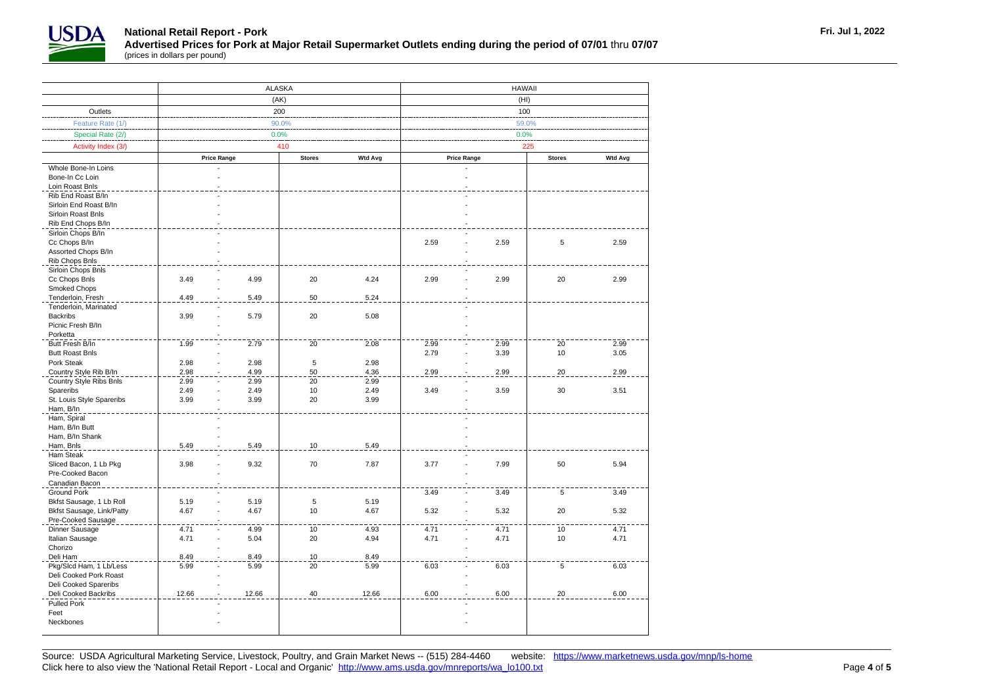

┬

|                                      |                        | ALASKA |               |                | <b>HAWAII</b>                                         |      |          |      |  |  |
|--------------------------------------|------------------------|--------|---------------|----------------|-------------------------------------------------------|------|----------|------|--|--|
|                                      |                        | (AK)   |               |                | (HI)                                                  |      |          |      |  |  |
| Outlets                              |                        | 200    |               |                | 100                                                   |      |          |      |  |  |
| Feature Rate (1/)                    |                        |        | $90.0\%$      |                | 59.0%                                                 |      |          |      |  |  |
| Special Rate (2/)                    |                        | 0.0%   |               |                | 0.0%                                                  |      |          |      |  |  |
| Activity Index (3/)                  |                        |        | 410           |                | 225                                                   |      |          |      |  |  |
|                                      | <b>Price Range</b>     |        | <b>Stores</b> | <b>Wtd Avg</b> | <b>Price Range</b><br><b>Wtd Avg</b><br><b>Stores</b> |      |          |      |  |  |
| Whole Bone-In Loins                  |                        |        |               |                |                                                       |      |          |      |  |  |
| Bone-In Cc Loin                      |                        |        |               |                |                                                       |      |          |      |  |  |
| Loin Roast Bnls                      |                        |        |               |                |                                                       |      |          |      |  |  |
| Rib End Roast B/In                   |                        |        |               |                |                                                       |      |          |      |  |  |
| Sirloin End Roast B/In               |                        |        |               |                |                                                       |      |          |      |  |  |
| Sirloin Roast Bnls                   |                        |        |               |                |                                                       |      |          |      |  |  |
| Rib End Chops B/In                   |                        |        |               |                |                                                       |      |          |      |  |  |
| Sirloin Chops B/In                   |                        |        |               |                |                                                       |      |          |      |  |  |
| Cc Chops B/In                        |                        |        |               |                | 2.59<br>$\overline{a}$                                | 2.59 | 5        | 2.59 |  |  |
| Assorted Chops B/In                  |                        |        |               |                |                                                       |      |          |      |  |  |
| Rib Chops Bnls                       |                        |        |               |                |                                                       |      |          |      |  |  |
| Sirloin Chops Bnls                   |                        |        |               |                |                                                       |      |          |      |  |  |
| Cc Chops Bnls                        | 3.49                   | 4.99   | 20            | 4.24           | 2.99<br>÷,                                            | 2.99 | 20       | 2.99 |  |  |
| Smoked Chops                         |                        |        |               |                |                                                       |      |          |      |  |  |
| Tenderloin, Fresh                    | 4.49                   | 5.49   | 50            | 5.24           |                                                       |      |          |      |  |  |
| Tenderloin, Marinated                |                        |        |               |                |                                                       |      |          |      |  |  |
| <b>Backribs</b>                      | 3.99                   | 5.79   | 20            | 5.08           |                                                       |      |          |      |  |  |
| Picnic Fresh B/In                    |                        |        |               |                |                                                       |      |          |      |  |  |
| Porketta                             |                        |        |               |                |                                                       |      |          |      |  |  |
| Butt Fresh B/In                      | 1.99                   | 2.79   | 20            | 2.08           | 2.99<br>÷,                                            | 2.99 | 20<br>10 | 2.99 |  |  |
| <b>Butt Roast Bnls</b><br>Pork Steak | 2.98                   | 2.98   | 5             | 2.98           | 2.79                                                  | 3.39 |          | 3.05 |  |  |
| Country Style Rib B/In               | 2.98                   | 4.99   | 50            | 4.36           | 2.99                                                  | 2.99 | 20       | 2.99 |  |  |
| Country Style Ribs Bnls              | 2.99                   | 2.99   | 20            | 2.99           |                                                       |      |          |      |  |  |
| Spareribs                            | 2.49                   | 2.49   | 10            | 2.49           | 3.49                                                  | 3.59 | 30       | 3.51 |  |  |
| St. Louis Style Spareribs            | 3.99<br>÷              | 3.99   | 20            | 3.99           |                                                       |      |          |      |  |  |
| Ham, B/In                            |                        |        |               |                |                                                       |      |          |      |  |  |
| Ham, Spiral                          |                        |        |               |                |                                                       |      |          |      |  |  |
| Ham, B/In Butt                       |                        |        |               |                |                                                       |      |          |      |  |  |
| Ham, B/In Shank                      |                        |        |               |                |                                                       |      |          |      |  |  |
| Ham, Bnls                            | 5.49                   | 5.49   | 10            | 5.49           |                                                       |      |          |      |  |  |
| Ham Steak                            |                        |        |               |                |                                                       |      |          |      |  |  |
| Sliced Bacon, 1 Lb Pkg               | 3.98                   | 9.32   | 70            | 7.87           | 3.77<br>÷,                                            | 7.99 | 50       | 5.94 |  |  |
| Pre-Cooked Bacon<br>Canadian Bacon   |                        |        |               |                |                                                       |      |          |      |  |  |
| <b>Ground Pork</b>                   |                        |        |               |                | 3.49                                                  | 3.49 | 5        | 3.49 |  |  |
| Bkfst Sausage, 1 Lb Roll             | 5.19<br>$\overline{a}$ | 5.19   | $\,$ 5 $\,$   | 5.19           |                                                       |      |          |      |  |  |
| Bkfst Sausage, Link/Patty            | 4.67<br>$\overline{a}$ | 4.67   | 10            | 4.67           | 5.32<br>÷,                                            | 5.32 | 20       | 5.32 |  |  |
| Pre-Cooked Sausage                   |                        |        |               |                |                                                       |      |          |      |  |  |
| Dinner Sausage                       | 4.71                   | 4.99   | $10$          | 4.93           | 4.71                                                  | 4.71 | 10       | 4.71 |  |  |
| Italian Sausage                      | 4.71                   | 5.04   | 20            | 4.94           | 4.71                                                  | 4.71 | 10       | 4.71 |  |  |
| Chorizo                              |                        |        |               |                |                                                       |      |          |      |  |  |
| Deli Ham                             | 8.49                   | 8.49   | 10            | 8.49           |                                                       |      |          |      |  |  |
| Pkg/Slcd Ham, 1 Lb/Less              | 5.99                   | 5.99   | 20            | 5.99           | 6.03                                                  | 6.03 | 5        | 6.03 |  |  |
| Deli Cooked Pork Roast               |                        |        |               |                |                                                       |      |          |      |  |  |
| Deli Cooked Spareribs                |                        |        |               |                |                                                       |      |          |      |  |  |
| Deli Cooked Backribs                 | 12.66                  | 12.66  | 40            | 12.66          | 6.00                                                  | 6.00 | 20       | 6.00 |  |  |
| Pulled Pork<br>Feet                  |                        |        |               |                |                                                       |      |          |      |  |  |
| Neckbones                            |                        |        |               |                |                                                       |      |          |      |  |  |
|                                      |                        |        |               |                |                                                       |      |          |      |  |  |
|                                      |                        |        |               |                |                                                       |      |          |      |  |  |